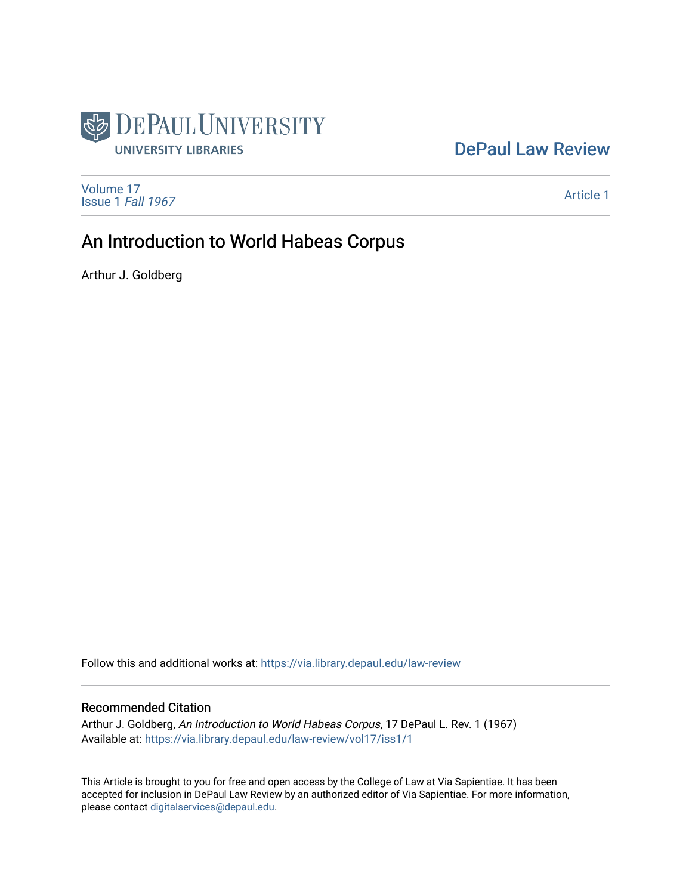

### [DePaul Law Review](https://via.library.depaul.edu/law-review)

[Volume 17](https://via.library.depaul.edu/law-review/vol17) [Issue 1](https://via.library.depaul.edu/law-review/vol17/iss1) Fall 1967

[Article 1](https://via.library.depaul.edu/law-review/vol17/iss1/1) 

## An Introduction to World Habeas Corpus

Arthur J. Goldberg

Follow this and additional works at: [https://via.library.depaul.edu/law-review](https://via.library.depaul.edu/law-review?utm_source=via.library.depaul.edu%2Flaw-review%2Fvol17%2Fiss1%2F1&utm_medium=PDF&utm_campaign=PDFCoverPages) 

### Recommended Citation

Arthur J. Goldberg, An Introduction to World Habeas Corpus, 17 DePaul L. Rev. 1 (1967) Available at: [https://via.library.depaul.edu/law-review/vol17/iss1/1](https://via.library.depaul.edu/law-review/vol17/iss1/1?utm_source=via.library.depaul.edu%2Flaw-review%2Fvol17%2Fiss1%2F1&utm_medium=PDF&utm_campaign=PDFCoverPages) 

This Article is brought to you for free and open access by the College of Law at Via Sapientiae. It has been accepted for inclusion in DePaul Law Review by an authorized editor of Via Sapientiae. For more information, please contact [digitalservices@depaul.edu.](mailto:digitalservices@depaul.edu)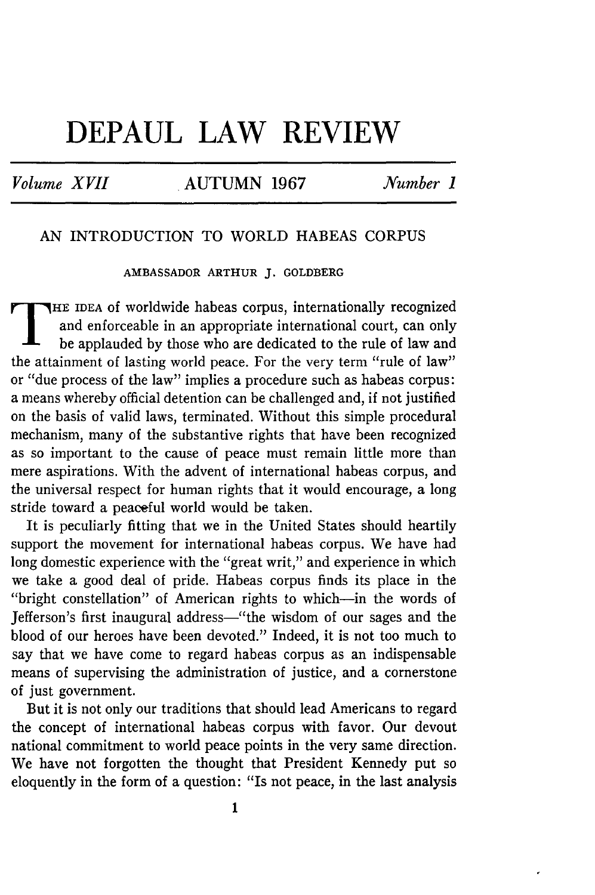# **DEPAUL LAW REVIEW**

### *Volume XVII* AUTUMN 1967 *Number 1*

### AN INTRODUCTION TO WORLD HABEAS CORPUS

#### AMBASSADOR ARTHUR J. GOLDBERG

**HE** IDEA of worldwide habeas corpus, internationally recognized and enforceable in an appropriate international court, can only be applauded by those who are dedicated to the rule of law and the attainment of lasting world peace. For the very term "rule of law" or "due process of the law" implies a procedure such as habeas corpus: a means whereby official detention can be challenged and, if not justified on the basis of valid laws, terminated. Without this simple procedural mechanism, many of the substantive rights that have been recognized as so important to the cause of peace must remain little more than mere aspirations. With the advent of international habeas corpus, and the universal respect for human rights that it would encourage, a long stride toward a peaceful world would be taken.

It is peculiarly fitting that we in the United States should heartily support the movement for international habeas corpus. We have had long domestic experience with the "great writ," and experience in which we take a good deal of pride. Habeas corpus finds its place in the "bright constellation" of American rights to which-in the words of Jefferson's first inaugural address-"the wisdom of our sages and the blood of our heroes have been devoted." Indeed, it is not too much to say that we have come to regard habeas corpus as an indispensable means of supervising the administration of justice, and a cornerstone of just government.

But it is not only our traditions that should lead Americans to regard the concept of international habeas corpus with favor. Our devout national commitment to world peace points in the very same direction. We have not forgotten the thought that President Kennedy put so eloquently in the form of a question: "Is not peace, in the last analysis